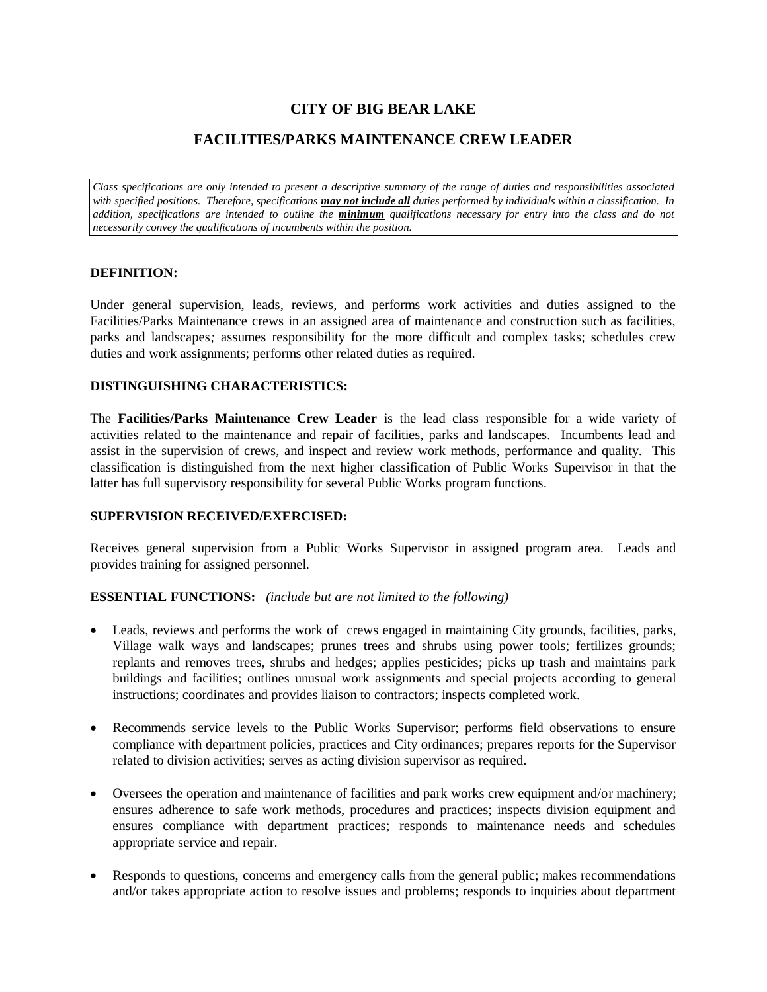# **CITY OF BIG BEAR LAKE**

## **FACILITIES/PARKS MAINTENANCE CREW LEADER**

*Class specifications are only intended to present a descriptive summary of the range of duties and responsibilities associated with specified positions. Therefore, specifications may not include all duties performed by individuals within a classification. In addition, specifications are intended to outline the minimum qualifications necessary for entry into the class and do not necessarily convey the qualifications of incumbents within the position.*

## **DEFINITION:**

Under general supervision, leads, reviews, and performs work activities and duties assigned to the Facilities/Parks Maintenance crews in an assigned area of maintenance and construction such as facilities, parks and landscapes*;* assumes responsibility for the more difficult and complex tasks; schedules crew duties and work assignments; performs other related duties as required.

## **DISTINGUISHING CHARACTERISTICS:**

The **Facilities/Parks Maintenance Crew Leader** is the lead class responsible for a wide variety of activities related to the maintenance and repair of facilities, parks and landscapes. Incumbents lead and assist in the supervision of crews, and inspect and review work methods, performance and quality. This classification is distinguished from the next higher classification of Public Works Supervisor in that the latter has full supervisory responsibility for several Public Works program functions.

## **SUPERVISION RECEIVED/EXERCISED:**

Receives general supervision from a Public Works Supervisor in assigned program area. Leads and provides training for assigned personnel.

## **ESSENTIAL FUNCTIONS:** *(include but are not limited to the following)*

- Leads, reviews and performs the work of crews engaged in maintaining City grounds, facilities, parks, Village walk ways and landscapes; prunes trees and shrubs using power tools; fertilizes grounds; replants and removes trees, shrubs and hedges; applies pesticides; picks up trash and maintains park buildings and facilities; outlines unusual work assignments and special projects according to general instructions; coordinates and provides liaison to contractors; inspects completed work.
- Recommends service levels to the Public Works Supervisor; performs field observations to ensure compliance with department policies, practices and City ordinances; prepares reports for the Supervisor related to division activities; serves as acting division supervisor as required.
- Oversees the operation and maintenance of facilities and park works crew equipment and/or machinery; ensures adherence to safe work methods, procedures and practices; inspects division equipment and ensures compliance with department practices; responds to maintenance needs and schedules appropriate service and repair.
- Responds to questions, concerns and emergency calls from the general public; makes recommendations and/or takes appropriate action to resolve issues and problems; responds to inquiries about department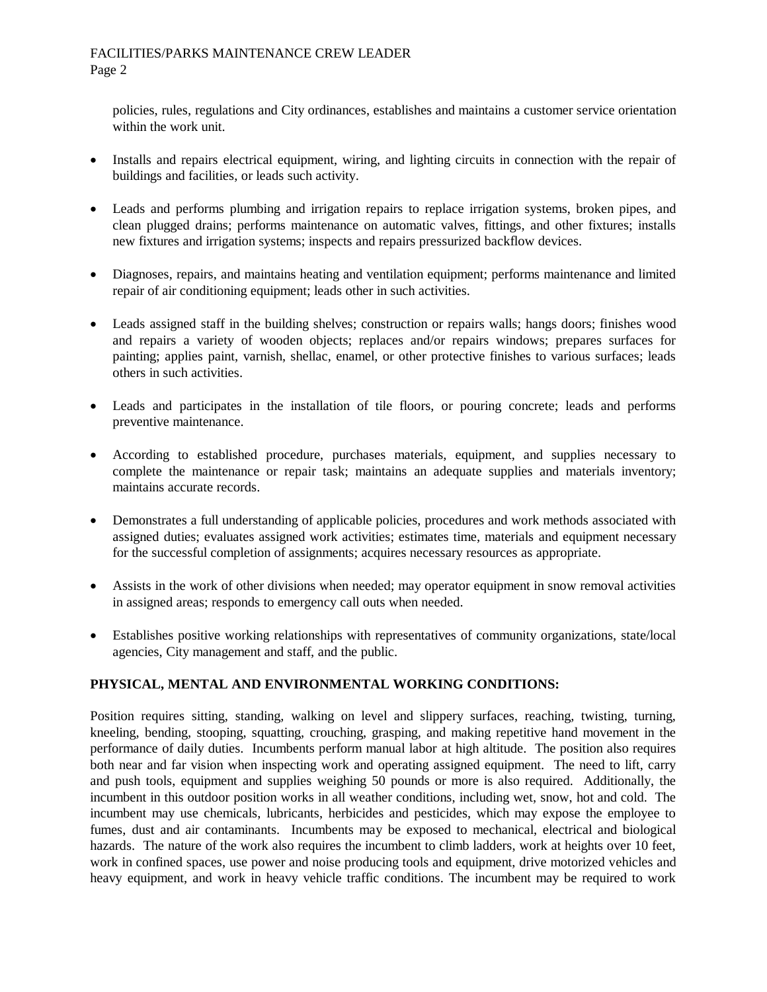## FACILITIES/PARKS MAINTENANCE CREW LEADER Page 2

policies, rules, regulations and City ordinances, establishes and maintains a customer service orientation within the work unit.

- Installs and repairs electrical equipment, wiring, and lighting circuits in connection with the repair of buildings and facilities, or leads such activity.
- Leads and performs plumbing and irrigation repairs to replace irrigation systems, broken pipes, and clean plugged drains; performs maintenance on automatic valves, fittings, and other fixtures; installs new fixtures and irrigation systems; inspects and repairs pressurized backflow devices.
- Diagnoses, repairs, and maintains heating and ventilation equipment; performs maintenance and limited repair of air conditioning equipment; leads other in such activities.
- Leads assigned staff in the building shelves; construction or repairs walls; hangs doors; finishes wood and repairs a variety of wooden objects; replaces and/or repairs windows; prepares surfaces for painting; applies paint, varnish, shellac, enamel, or other protective finishes to various surfaces; leads others in such activities.
- Leads and participates in the installation of tile floors, or pouring concrete; leads and performs preventive maintenance.
- According to established procedure, purchases materials, equipment, and supplies necessary to complete the maintenance or repair task; maintains an adequate supplies and materials inventory; maintains accurate records.
- Demonstrates a full understanding of applicable policies, procedures and work methods associated with assigned duties; evaluates assigned work activities; estimates time, materials and equipment necessary for the successful completion of assignments; acquires necessary resources as appropriate.
- Assists in the work of other divisions when needed; may operator equipment in snow removal activities in assigned areas; responds to emergency call outs when needed.
- Establishes positive working relationships with representatives of community organizations, state/local agencies, City management and staff, and the public.

## **PHYSICAL, MENTAL AND ENVIRONMENTAL WORKING CONDITIONS:**

Position requires sitting, standing, walking on level and slippery surfaces, reaching, twisting, turning, kneeling, bending, stooping, squatting, crouching, grasping, and making repetitive hand movement in the performance of daily duties. Incumbents perform manual labor at high altitude. The position also requires both near and far vision when inspecting work and operating assigned equipment. The need to lift, carry and push tools, equipment and supplies weighing 50 pounds or more is also required. Additionally, the incumbent in this outdoor position works in all weather conditions, including wet, snow, hot and cold. The incumbent may use chemicals, lubricants, herbicides and pesticides, which may expose the employee to fumes, dust and air contaminants. Incumbents may be exposed to mechanical, electrical and biological hazards. The nature of the work also requires the incumbent to climb ladders, work at heights over 10 feet, work in confined spaces, use power and noise producing tools and equipment, drive motorized vehicles and heavy equipment, and work in heavy vehicle traffic conditions. The incumbent may be required to work